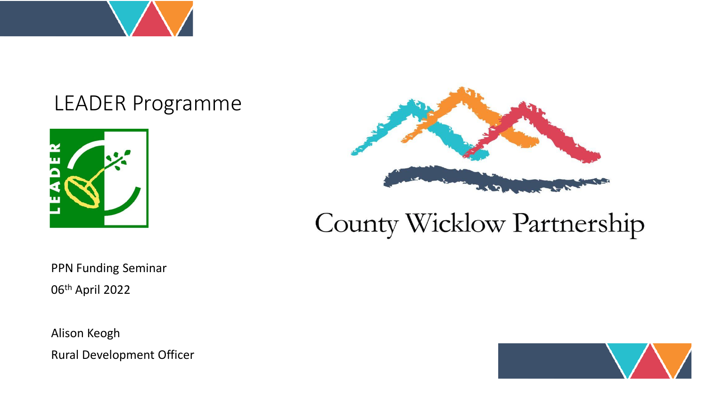

#### LEADER Programme





#### County Wicklow Partnership

PPN Funding Seminar 06th April 2022

Alison Keogh Rural Development Officer

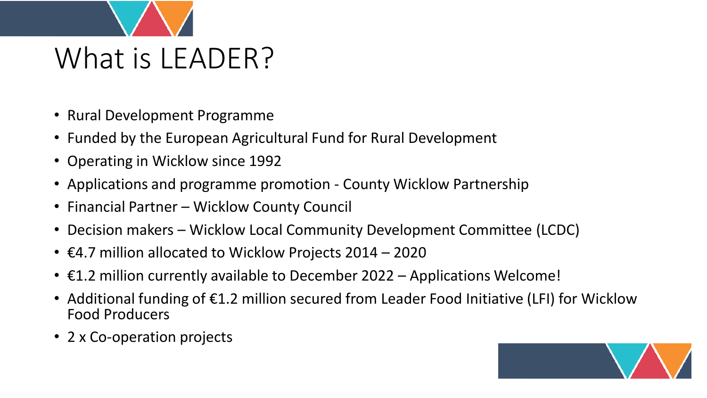

- Rural Development Programme
- Funded by the European Agricultural Fund for Rural Development
- Operating in Wicklow since 1992
- Applications and programme promotion County Wicklow Partnership
- Financial Partner Wicklow County Council
- Decision makers Wicklow Local Community Development Committee (LCDC)
- $\epsilon$ 4.7 million allocated to Wicklow Projects 2014 2020
- €1.2 million currently available to December 2022 Applications Welcome!
- Additional funding of €1.2 million secured from Leader Food Initiative (LFI) for Wicklow Food Producers
- 2 x Co-operation projects

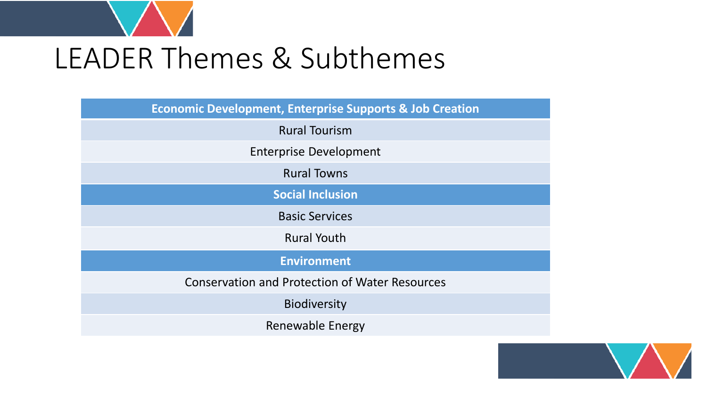

## LEADER Themes & Subthemes

| <b>Economic Development, Enterprise Supports &amp; Job Creation</b> |
|---------------------------------------------------------------------|
| <b>Rural Tourism</b>                                                |
| <b>Enterprise Development</b>                                       |
| <b>Rural Towns</b>                                                  |
| <b>Social Inclusion</b>                                             |
| <b>Basic Services</b>                                               |
| <b>Rural Youth</b>                                                  |
| <b>Environment</b>                                                  |
| <b>Conservation and Protection of Water Resources</b>               |
| <b>Biodiversity</b>                                                 |
| Renewable Energy                                                    |

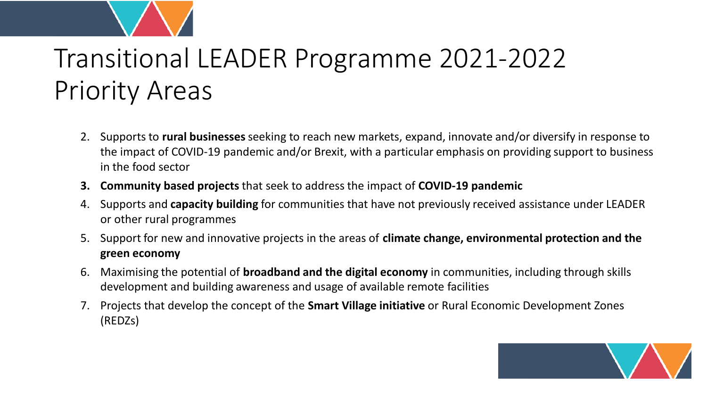

#### Transitional LEADER Programme 2021-2022 Priority Areas

- 2. Supports to **rural businesses** seeking to reach new markets, expand, innovate and/or diversify in response to the impact of COVID-19 pandemic and/or Brexit, with a particular emphasis on providing support to business in the food sector
- **3. Community based projects** that seek to address the impact of **COVID-19 pandemic**
- 4. Supports and **capacity building** for communities that have not previously received assistance under LEADER or other rural programmes
- 5. Support for new and innovative projects in the areas of **climate change, environmental protection and the green economy**
- 6. Maximising the potential of **broadband and the digital economy** in communities, including through skills development and building awareness and usage of available remote facilities
- 7. Projects that develop the concept of the **Smart Village initiative** or Rural Economic Development Zones (REDZs)

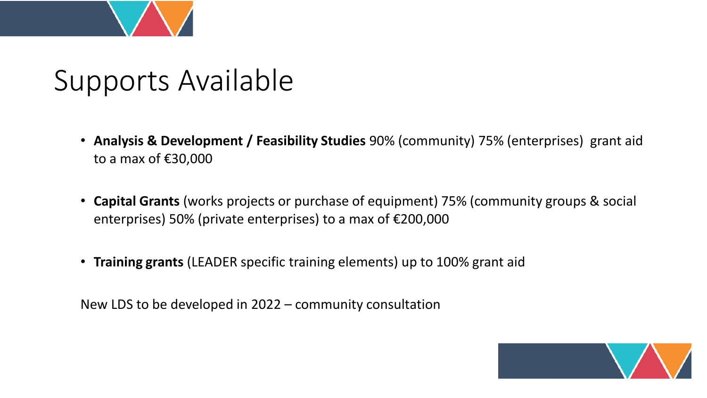

### Supports Available

- **Analysis & Development / Feasibility Studies** 90% (community) 75% (enterprises) grant aid to a max of €30,000
- **Capital Grants** (works projects or purchase of equipment) 75% (community groups & social enterprises) 50% (private enterprises) to a max of €200,000
- **Training grants** (LEADER specific training elements) up to 100% grant aid

New LDS to be developed in 2022 – community consultation

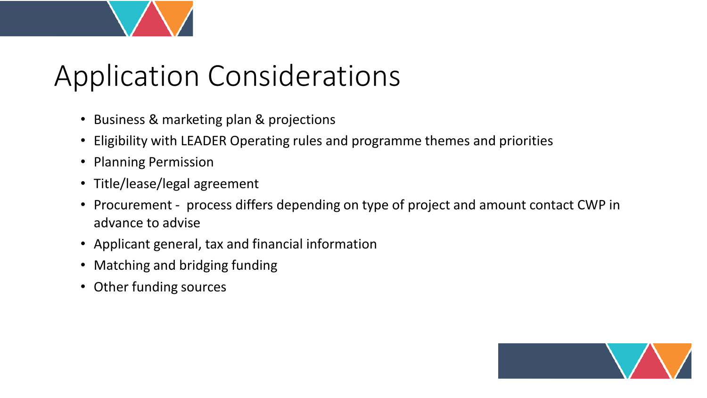# Application Considerations

- Business & marketing plan & projections
- Eligibility with LEADER Operating rules and programme themes and priorities
- Planning Permission
- Title/lease/legal agreement
- Procurement process differs depending on type of project and amount contact CWP in advance to advise
- Applicant general, tax and financial information
- Matching and bridging funding
- Other funding sources

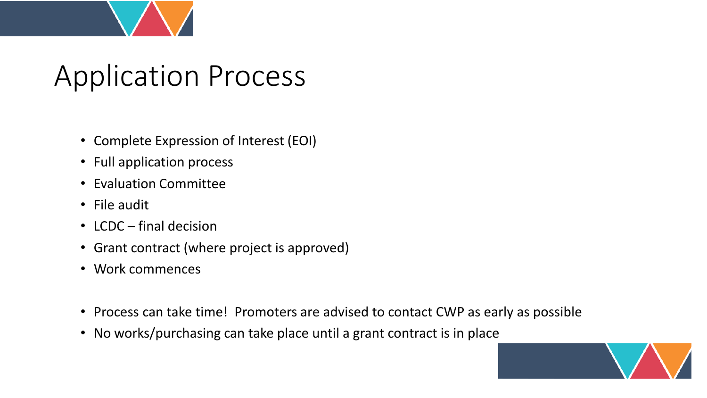

### Application Process

- Complete Expression of Interest (EOI)
- Full application process
- Evaluation Committee
- File audit
- LCDC final decision
- Grant contract (where project is approved)
- Work commences
- Process can take time! Promoters are advised to contact CWP as early as possible
- No works/purchasing can take place until a grant contract is in place